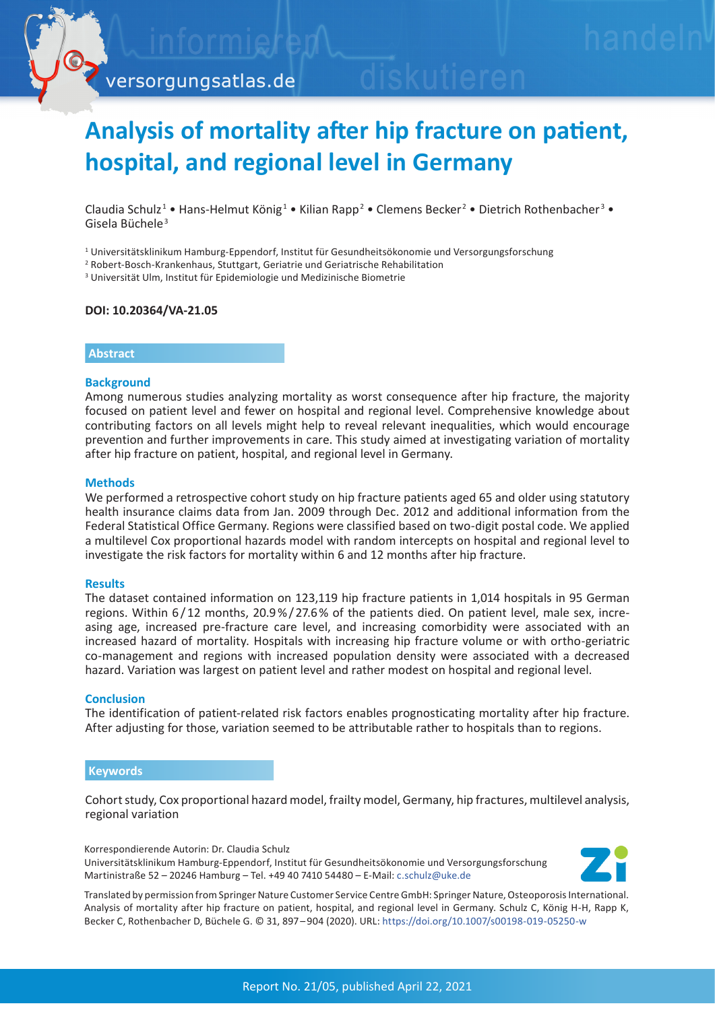

# **Analysis of mortality after hip fracture on patient, hospital, and regional level in Germany**

Claudia Schulz<sup>1</sup> • Hans-Helmut König<sup>1</sup> • Kilian Rapp<sup>2</sup> • Clemens Becker<sup>2</sup> • Dietrich Rothenbacher<sup>3</sup> • Gisela Büchele<sup>3</sup>

1 Universitätsklinikum Hamburg-Eppendorf, Institut für Gesundheitsökonomie und Versorgungsforschung

2 Robert-Bosch-Krankenhaus, Stuttgart, Geriatrie und Geriatrische Rehabilitation

3 Universität Ulm, Institut für Epidemiologie und Medizinische Biometrie

### **DOI: 10.20364/VA-21.05**

#### **Abstract**

#### **Background**

Among numerous studies analyzing mortality as worst consequence after hip fracture, the majority focused on patient level and fewer on hospital and regional level. Comprehensive knowledge about contributing factors on all levels might help to reveal relevant inequalities, which would encourage prevention and further improvements in care. This study aimed at investigating variation of mortality after hip fracture on patient, hospital, and regional level in Germany.

#### **Methods**

We performed a retrospective cohort study on hip fracture patients aged 65 and older using statutory health insurance claims data from Jan. 2009 through Dec. 2012 and additional information from the Federal Statistical Office Germany. Regions were classified based on two-digit postal code. We applied a multilevel Cox proportional hazards model with random intercepts on hospital and regional level to investigate the risk factors for mortality within 6 and 12 months after hip fracture.

#### **Results**

The dataset contained information on 123,119 hip fracture patients in 1,014 hospitals in 95 German regions. Within 6/12 months, 20.9<sup>%</sup>/27.6<sup>%</sup> of the patients died. On patient level, male sex, increasing age, increased pre-fracture care level, and increasing comorbidity were associated with an increased hazard of mortality. Hospitals with increasing hip fracture volume or with ortho-geriatric co-management and regions with increased population density were associated with a decreased hazard. Variation was largest on patient level and rather modest on hospital and regional level.

#### **Conclusion**

The identification of patient-related risk factors enables prognosticating mortality after hip fracture. After adjusting for those, variation seemed to be attributable rather to hospitals than to regions.

#### **Keywords**

Cohort study, Cox proportional hazard model, frailty model, Germany, hip fractures, multilevel analysis, regional variation

Korrespondierende Autorin: Dr. Claudia Schulz Universitätsklinikum Hamburg-Eppendorf, Institut für Gesundheitsökonomie und Versorgungsforschung Martinistraße 52 – 20246 Hamburg – Tel. +49 40 7410 54480 – E-Mail: [c.schulz@uke.de](mailto:c.schulz%40uke.de?subject=Versorgungsatlas-Bericht%2021/05%20Mortalit%C3%A4t%20nach%20H%C3%BCftfraktur)



Translated by permission from Springer Nature Customer Service Centre GmbH: Springer Nature, Osteoporosis International. Analysis of mortality after hip fracture on patient, hospital, and regional level in Germany. Schulz C, König H-H, Rapp K, Becker C, Rothenbacher D, Büchele G. © 31, 897 – 904 (2020). URL: [https://doi.org/10.1007/s00198-019-05250-w](http://c.schulz@uke.de)